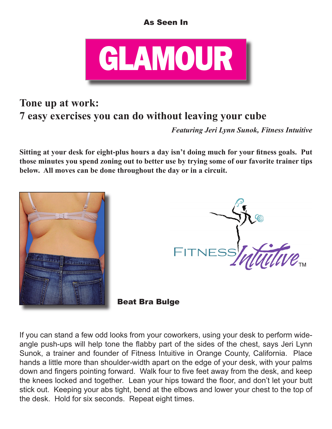## As Seen In



## **Tone up at work: 7 easy exercises you can do without leaving your cube**

*Featuring Jeri Lynn Sunok, Fitness Intuitive*

Sitting at your desk for eight-plus hours a day isn't doing much for your fitness goals. Put **those minutes you spend zoning out to better use by trying some of our favorite trainer tips below. All moves can be done throughout the day or in a circuit.**





Beat Bra Bulge

If you can stand a few odd looks from your coworkers, using your desk to perform wideangle push-ups will help tone the flabby part of the sides of the chest, says Jeri Lynn Sunok, a trainer and founder of Fitness Intuitive in Orange County, California. Place hands a little more than shoulder-width apart on the edge of your desk, with your palms down and fingers pointing forward. Walk four to five feet away from the desk, and keep the knees locked and together. Lean your hips toward the floor, and don't let your butt stick out. Keeping your abs tight, bend at the elbows and lower your chest to the top of the desk. Hold for six seconds. Repeat eight times.